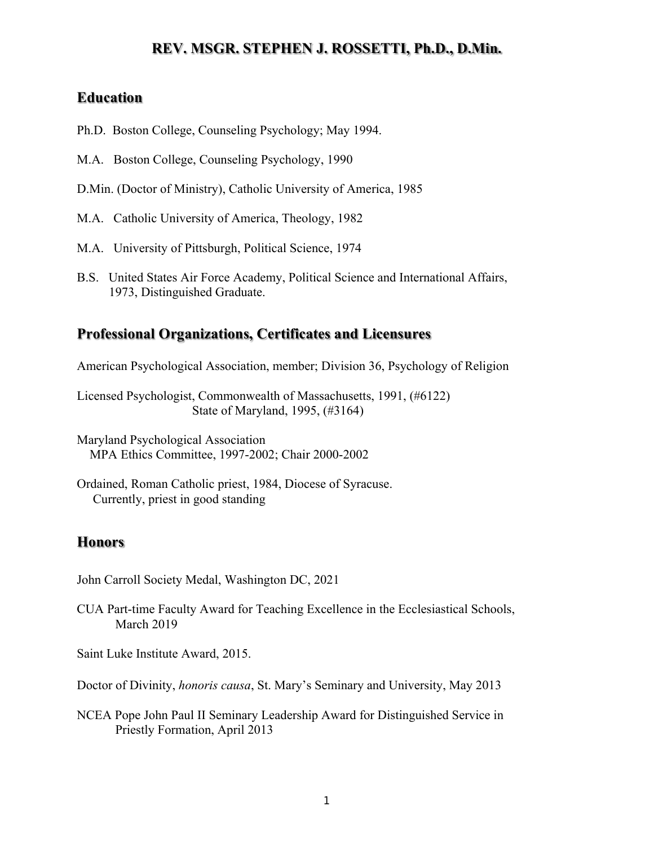# **REV. MSGR. STEPHEN J. ROSSETTI, Ph.D., D.Min.**

### **Education**

- Ph.D. Boston College, Counseling Psychology; May 1994.
- M.A. Boston College, Counseling Psychology, 1990
- D.Min. (Doctor of Ministry), Catholic University of America, 1985
- M.A. Catholic University of America, Theology, 1982
- M.A. University of Pittsburgh, Political Science, 1974
- B.S. United States Air Force Academy, Political Science and International Affairs, 1973, Distinguished Graduate.

### **Professional Organizations, Certificates and Licensures**

American Psychological Association, member; Division 36, Psychology of Religion

Licensed Psychologist, Commonwealth of Massachusetts, 1991, (#6122) State of Maryland, 1995, (#3164)

Maryland Psychological Association MPA Ethics Committee, 1997-2002; Chair 2000-2002

Ordained, Roman Catholic priest, 1984, Diocese of Syracuse. Currently, priest in good standing

### **Honors**

John Carroll Society Medal, Washington DC, 2021

CUA Part-time Faculty Award for Teaching Excellence in the Ecclesiastical Schools, March 2019

Saint Luke Institute Award, 2015.

Doctor of Divinity, *honoris causa*, St. Mary's Seminary and University, May 2013

NCEA Pope John Paul II Seminary Leadership Award for Distinguished Service in Priestly Formation, April 2013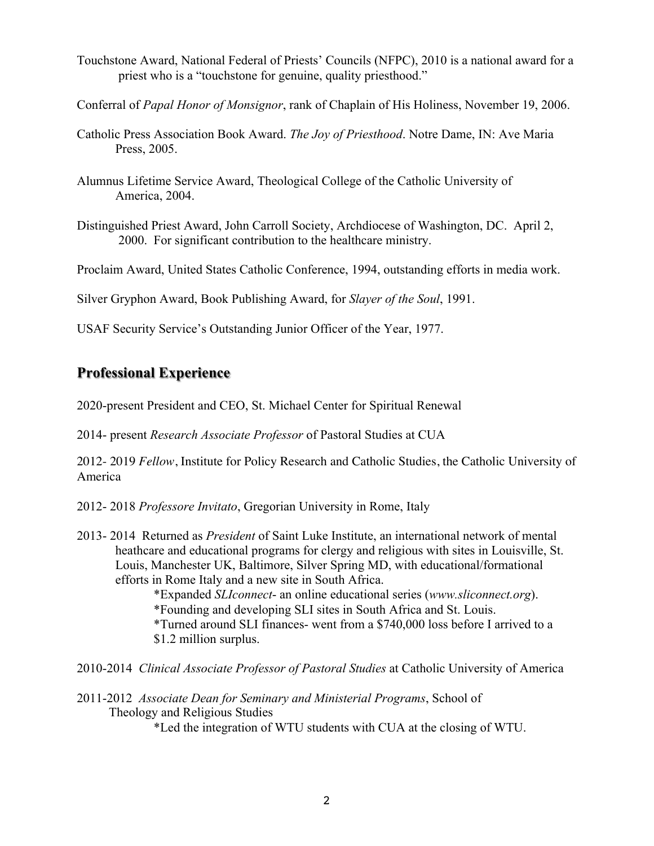- Touchstone Award, National Federal of Priests' Councils (NFPC), 2010 is a national award for a priest who is a "touchstone for genuine, quality priesthood."
- Conferral of *Papal Honor of Monsignor*, rank of Chaplain of His Holiness, November 19, 2006.
- Catholic Press Association Book Award. *The Joy of Priesthood*. Notre Dame, IN: Ave Maria Press, 2005.
- Alumnus Lifetime Service Award, Theological College of the Catholic University of America, 2004.
- Distinguished Priest Award, John Carroll Society, Archdiocese of Washington, DC. April 2, 2000. For significant contribution to the healthcare ministry.

Proclaim Award, United States Catholic Conference, 1994, outstanding efforts in media work.

Silver Gryphon Award, Book Publishing Award, for *Slayer of the Soul*, 1991.

USAF Security Service's Outstanding Junior Officer of the Year, 1977.

# **Professional Experience**

2020-present President and CEO, St. Michael Center for Spiritual Renewal

2014- present *Research Associate Professor* of Pastoral Studies at CUA

2012- 2019 *Fellow*, Institute for Policy Research and Catholic Studies, the Catholic University of America

2012- 2018 *Professore Invitato*, Gregorian University in Rome, Italy

2013- 2014 Returned as *President* of Saint Luke Institute, an international network of mental heathcare and educational programs for clergy and religious with sites in Louisville, St. Louis, Manchester UK, Baltimore, Silver Spring MD, with educational/formational efforts in Rome Italy and a new site in South Africa.

> \*Expanded *SLIconnect*- an online educational series (*www.sliconnect.org*). \*Founding and developing SLI sites in South Africa and St. Louis. \*Turned around SLI finances- went from a \$740,000 loss before I arrived to a \$1.2 million surplus.

2010-2014 *Clinical Associate Professor of Pastoral Studies* at Catholic University of America

2011-2012 *Associate Dean for Seminary and Ministerial Programs*, School of Theology and Religious Studies

\*Led the integration of WTU students with CUA at the closing of WTU.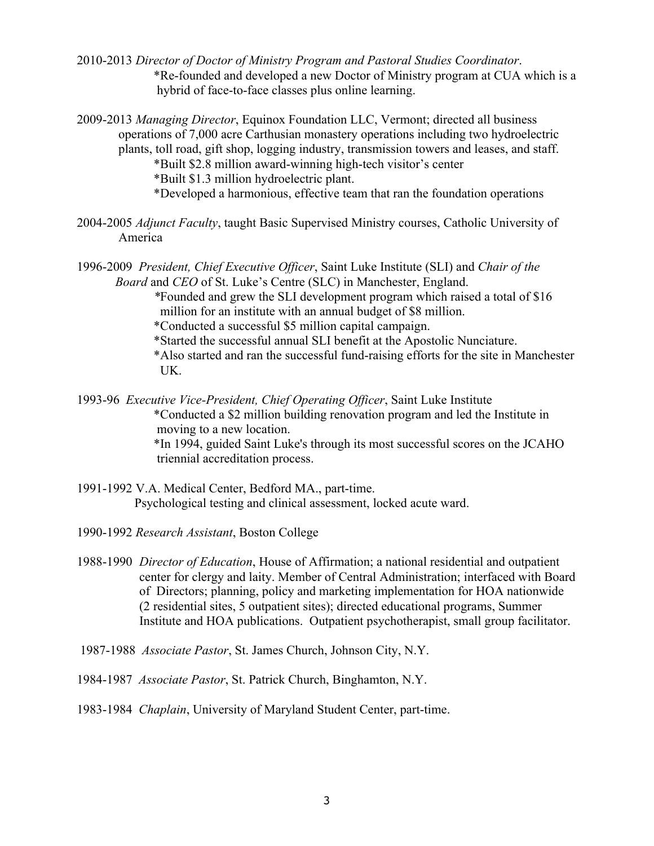- 2010-2013 *Director of Doctor of Ministry Program and Pastoral Studies Coordinator*. \*Re-founded and developed a new Doctor of Ministry program at CUA which is a hybrid of face-to-face classes plus online learning.
- 2009-2013 *Managing Director*, Equinox Foundation LLC, Vermont; directed all business operations of 7,000 acre Carthusian monastery operations including two hydroelectric plants, toll road, gift shop, logging industry, transmission towers and leases, and staff. \*Built \$2.8 million award-winning high-tech visitor's center \*Built \$1.3 million hydroelectric plant. \*Developed a harmonious, effective team that ran the foundation operations
- 2004-2005 *Adjunct Faculty*, taught Basic Supervised Ministry courses, Catholic University of America
- 1996-2009 *President, Chief Executive Officer*, Saint Luke Institute (SLI) and *Chair of the Board* and *CEO* of St. Luke's Centre (SLC) in Manchester, England.

*\**Founded and grew the SLI development program which raised a total of \$16 million for an institute with an annual budget of \$8 million.

- \*Conducted a successful \$5 million capital campaign.
- \*Started the successful annual SLI benefit at the Apostolic Nunciature.
- \*Also started and ran the successful fund-raising efforts for the site in Manchester UK.
- 1993-96 *Executive Vice-President, Chief Operating Officer*, Saint Luke Institute \*Conducted a \$2 million building renovation program and led the Institute in moving to a new location. \*In 1994, guided Saint Luke's through its most successful scores on the JCAHO triennial accreditation process.
- 1991-1992 V.A. Medical Center, Bedford MA., part-time. Psychological testing and clinical assessment, locked acute ward.
- 1990-1992 *Research Assistant*, Boston College
- 1988-1990 *Director of Education*, House of Affirmation; a national residential and outpatient center for clergy and laity. Member of Central Administration; interfaced with Board of Directors; planning, policy and marketing implementation for HOA nationwide (2 residential sites, 5 outpatient sites); directed educational programs, Summer Institute and HOA publications. Outpatient psychotherapist, small group facilitator.
- 1987-1988 *Associate Pastor*, St. James Church, Johnson City, N.Y.
- 1984-1987 *Associate Pastor*, St. Patrick Church, Binghamton, N.Y.
- 1983-1984 *Chaplain*, University of Maryland Student Center, part-time.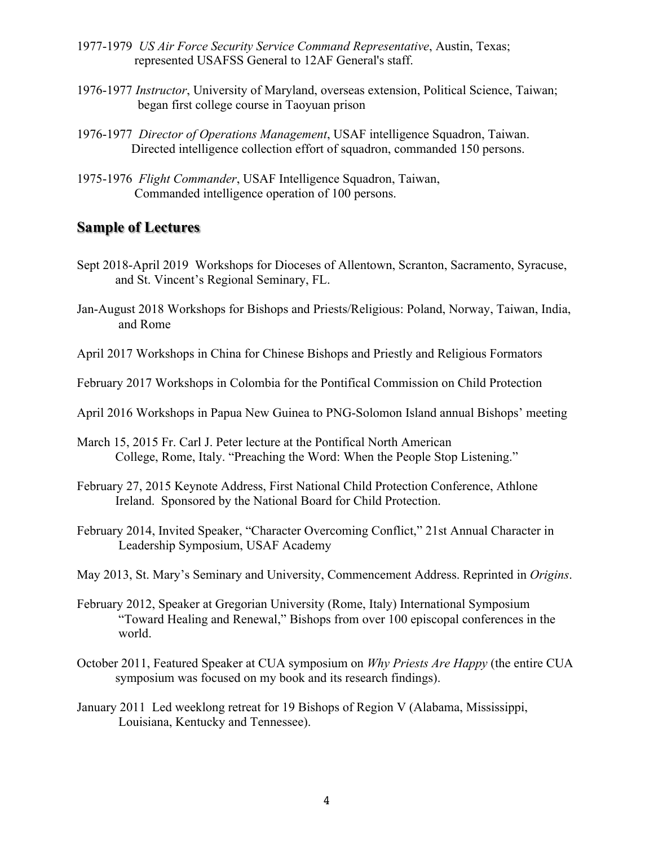- 1977-1979 *US Air Force Security Service Command Representative*, Austin, Texas; represented USAFSS General to 12AF General's staff.
- 1976-1977 *Instructor*, University of Maryland, overseas extension, Political Science, Taiwan; began first college course in Taoyuan prison
- 1976-1977 *Director of Operations Management*, USAF intelligence Squadron, Taiwan. Directed intelligence collection effort of squadron, commanded 150 persons.
- 1975-1976 *Flight Commander*, USAF Intelligence Squadron, Taiwan, Commanded intelligence operation of 100 persons.

# **Sample of Lectures**

- Sept 2018-April 2019 Workshops for Dioceses of Allentown, Scranton, Sacramento, Syracuse, and St. Vincent's Regional Seminary, FL.
- Jan-August 2018 Workshops for Bishops and Priests/Religious: Poland, Norway, Taiwan, India, and Rome
- April 2017 Workshops in China for Chinese Bishops and Priestly and Religious Formators
- February 2017 Workshops in Colombia for the Pontifical Commission on Child Protection
- April 2016 Workshops in Papua New Guinea to PNG-Solomon Island annual Bishops' meeting
- March 15, 2015 Fr. Carl J. Peter lecture at the Pontifical North American College, Rome, Italy. "Preaching the Word: When the People Stop Listening."
- February 27, 2015 Keynote Address, First National Child Protection Conference, Athlone Ireland. Sponsored by the National Board for Child Protection.
- February 2014, Invited Speaker, "Character Overcoming Conflict," 21st Annual Character in Leadership Symposium, USAF Academy
- May 2013, St. Mary's Seminary and University, Commencement Address. Reprinted in *Origins*.
- February 2012, Speaker at Gregorian University (Rome, Italy) International Symposium "Toward Healing and Renewal," Bishops from over 100 episcopal conferences in the world.
- October 2011, Featured Speaker at CUA symposium on *Why Priests Are Happy* (the entire CUA symposium was focused on my book and its research findings).
- January 2011 Led weeklong retreat for 19 Bishops of Region V (Alabama, Mississippi, Louisiana, Kentucky and Tennessee).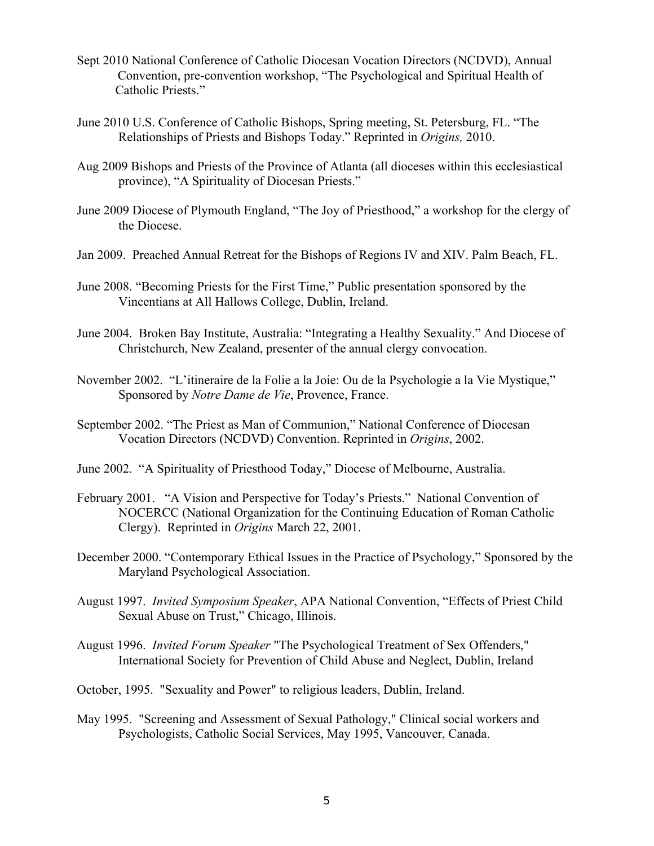- Sept 2010 National Conference of Catholic Diocesan Vocation Directors (NCDVD), Annual Convention, pre-convention workshop, "The Psychological and Spiritual Health of Catholic Priests."
- June 2010 U.S. Conference of Catholic Bishops, Spring meeting, St. Petersburg, FL. "The Relationships of Priests and Bishops Today." Reprinted in *Origins,* 2010.
- Aug 2009 Bishops and Priests of the Province of Atlanta (all dioceses within this ecclesiastical province), "A Spirituality of Diocesan Priests."
- June 2009 Diocese of Plymouth England, "The Joy of Priesthood," a workshop for the clergy of the Diocese.
- Jan 2009. Preached Annual Retreat for the Bishops of Regions IV and XIV. Palm Beach, FL.
- June 2008. "Becoming Priests for the First Time," Public presentation sponsored by the Vincentians at All Hallows College, Dublin, Ireland.
- June 2004. Broken Bay Institute, Australia: "Integrating a Healthy Sexuality." And Diocese of Christchurch, New Zealand, presenter of the annual clergy convocation.
- November 2002. "L'itineraire de la Folie a la Joie: Ou de la Psychologie a la Vie Mystique," Sponsored by *Notre Dame de Vie*, Provence, France.
- September 2002. "The Priest as Man of Communion," National Conference of Diocesan Vocation Directors (NCDVD) Convention. Reprinted in *Origins*, 2002.
- June 2002. "A Spirituality of Priesthood Today," Diocese of Melbourne, Australia.
- February 2001. "A Vision and Perspective for Today's Priests." National Convention of NOCERCC (National Organization for the Continuing Education of Roman Catholic Clergy). Reprinted in *Origins* March 22, 2001.
- December 2000. "Contemporary Ethical Issues in the Practice of Psychology," Sponsored by the Maryland Psychological Association.
- August 1997. *Invited Symposium Speaker*, APA National Convention, "Effects of Priest Child Sexual Abuse on Trust," Chicago, Illinois.
- August 1996. *Invited Forum Speaker* "The Psychological Treatment of Sex Offenders," International Society for Prevention of Child Abuse and Neglect, Dublin, Ireland
- October, 1995. "Sexuality and Power" to religious leaders, Dublin, Ireland.
- May 1995. "Screening and Assessment of Sexual Pathology," Clinical social workers and Psychologists, Catholic Social Services, May 1995, Vancouver, Canada.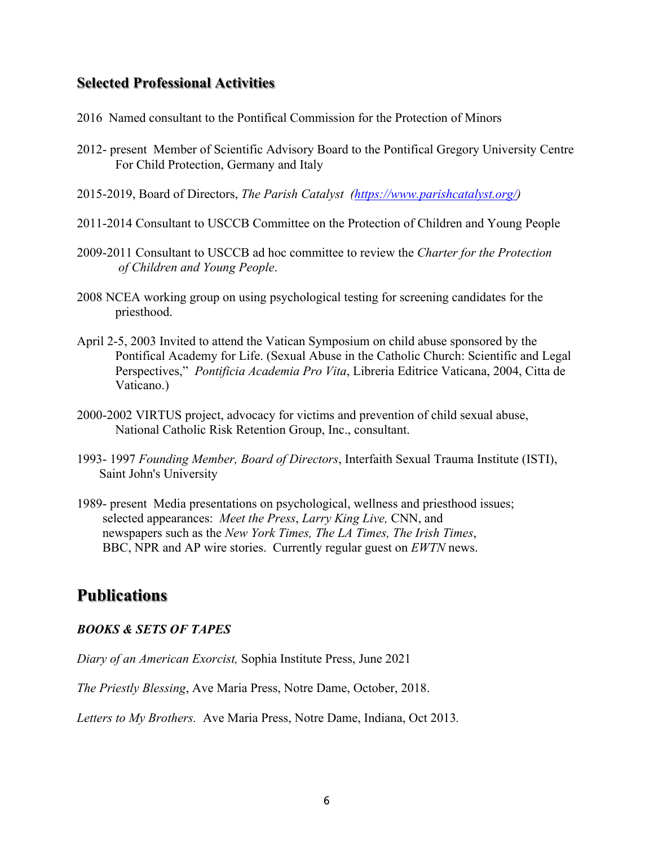## **Selected Professional Activities**

- 2016 Named consultant to the Pontifical Commission for the Protection of Minors
- 2012- present Member of Scientific Advisory Board to the Pontifical Gregory University Centre For Child Protection, Germany and Italy
- 2015-2019, Board of Directors, *The Parish Catalyst (https://www.parishcatalyst.org/)*
- 2011-2014 Consultant to USCCB Committee on the Protection of Children and Young People
- 2009-2011 Consultant to USCCB ad hoc committee to review the *Charter for the Protection of Children and Young People*.
- 2008 NCEA working group on using psychological testing for screening candidates for the priesthood.
- April 2-5, 2003 Invited to attend the Vatican Symposium on child abuse sponsored by the Pontifical Academy for Life. (Sexual Abuse in the Catholic Church: Scientific and Legal Perspectives," *Pontificia Academia Pro Vita*, Libreria Editrice Vaticana, 2004, Citta de Vaticano.)
- 2000-2002 VIRTUS project, advocacy for victims and prevention of child sexual abuse, National Catholic Risk Retention Group, Inc., consultant.
- 1993- 1997 *Founding Member, Board of Directors*, Interfaith Sexual Trauma Institute (ISTI), Saint John's University
- 1989- present Media presentations on psychological, wellness and priesthood issues; selected appearances: *Meet the Press*, *Larry King Live,* CNN, and newspapers such as the *New York Times, The LA Times, The Irish Times*, BBC, NPR and AP wire stories. Currently regular guest on *EWTN* news.

# **Publications**

### *BOOKS & SETS OF TAPES*

*Diary of an American Exorcist,* Sophia Institute Press, June 2021

*The Priestly Blessing*, Ave Maria Press, Notre Dame, October, 2018.

*Letters to My Brothers.* Ave Maria Press, Notre Dame, Indiana, Oct 2013*.*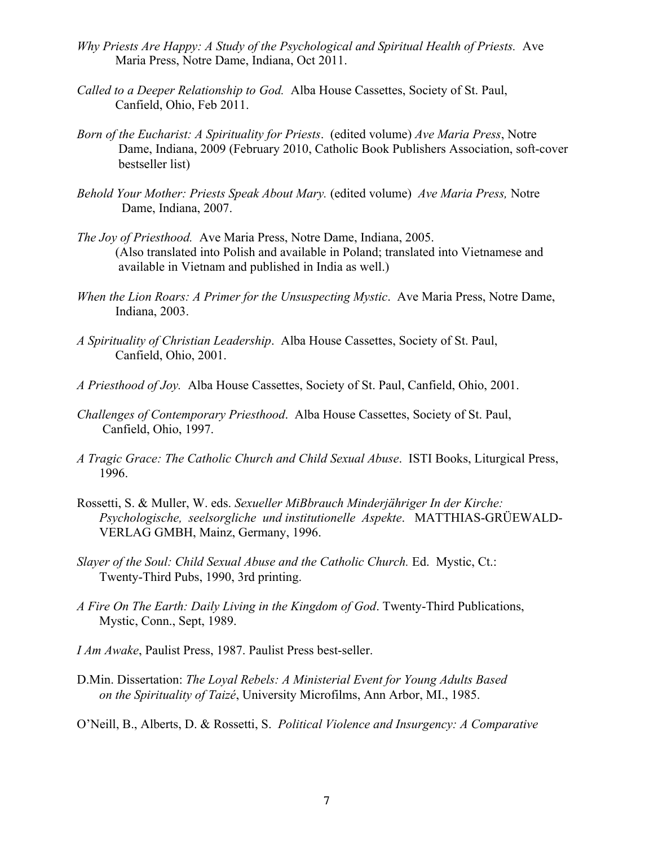- *Why Priests Are Happy: A Study of the Psychological and Spiritual Health of Priests.* Ave Maria Press, Notre Dame, Indiana, Oct 2011.
- *Called to a Deeper Relationship to God.* Alba House Cassettes, Society of St. Paul, Canfield, Ohio, Feb 2011.
- *Born of the Eucharist: A Spirituality for Priests*. (edited volume) *Ave Maria Press*, Notre Dame, Indiana, 2009 (February 2010, Catholic Book Publishers Association, soft-cover bestseller list)
- *Behold Your Mother: Priests Speak About Mary.* (edited volume) *Ave Maria Press,* Notre Dame, Indiana, 2007.
- *The Joy of Priesthood.* Ave Maria Press, Notre Dame, Indiana, 2005. (Also translated into Polish and available in Poland; translated into Vietnamese and available in Vietnam and published in India as well.)
- *When the Lion Roars: A Primer for the Unsuspecting Mystic*. Ave Maria Press, Notre Dame, Indiana, 2003.
- *A Spirituality of Christian Leadership*. Alba House Cassettes, Society of St. Paul, Canfield, Ohio, 2001.
- *A Priesthood of Joy.* Alba House Cassettes, Society of St. Paul, Canfield, Ohio, 2001.
- *Challenges of Contemporary Priesthood*. Alba House Cassettes, Society of St. Paul, Canfield, Ohio, 1997.
- *A Tragic Grace: The Catholic Church and Child Sexual Abuse*. ISTI Books, Liturgical Press, 1996.
- Rossetti, S. & Muller, W. eds. *Sexueller MiBbrauch Minderjähriger In der Kirche: Psychologische, seelsorgliche und institutionelle Aspekte*. MATTHIAS-GRÜEWALD- VERLAG GMBH, Mainz, Germany, 1996.
- *Slayer of the Soul: Child Sexual Abuse and the Catholic Church.* Ed. Mystic, Ct.: Twenty-Third Pubs, 1990, 3rd printing.
- *A Fire On The Earth: Daily Living in the Kingdom of God*. Twenty-Third Publications, Mystic, Conn., Sept, 1989.
- *I Am Awake*, Paulist Press, 1987. Paulist Press best-seller.
- D.Min. Dissertation: *The Loyal Rebels: A Ministerial Event for Young Adults Based on the Spirituality of Taizé*, University Microfilms, Ann Arbor, MI., 1985.
- O'Neill, B., Alberts, D. & Rossetti, S. *Political Violence and Insurgency: A Comparative*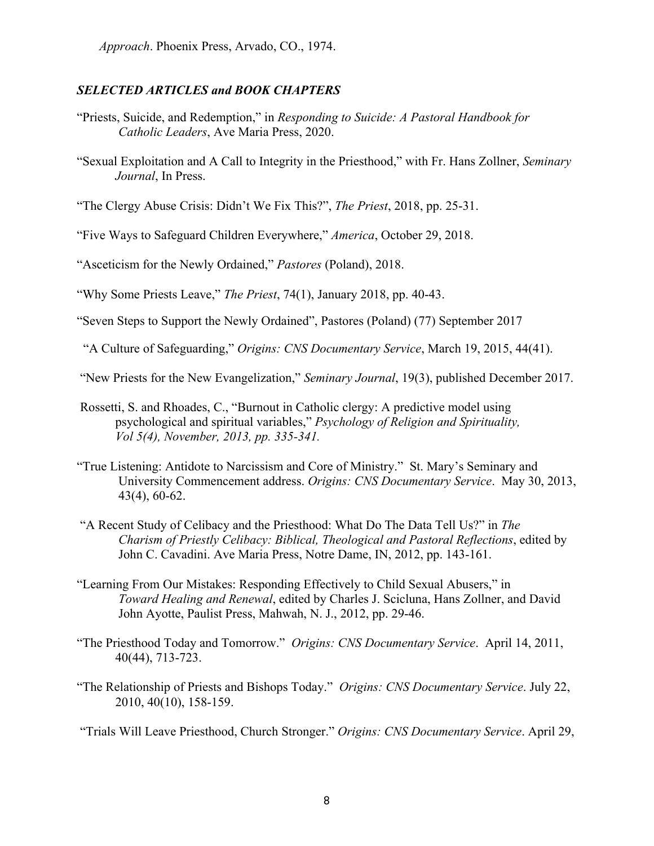*Approach*. Phoenix Press, Arvado, CO., 1974.

#### *SELECTED ARTICLES and BOOK CHAPTERS*

- "Priests, Suicide, and Redemption," in *Responding to Suicide: A Pastoral Handbook for Catholic Leaders*, Ave Maria Press, 2020.
- "Sexual Exploitation and A Call to Integrity in the Priesthood," with Fr. Hans Zollner, *Seminary Journal*, In Press.

"The Clergy Abuse Crisis: Didn't We Fix This?", *The Priest*, 2018, pp. 25-31.

"Five Ways to Safeguard Children Everywhere," *America*, October 29, 2018.

"Asceticism for the Newly Ordained," *Pastores* (Poland), 2018.

"Why Some Priests Leave," *The Priest*, 74(1), January 2018, pp. 40-43.

"Seven Steps to Support the Newly Ordained", Pastores (Poland) (77) September 2017

"A Culture of Safeguarding," *Origins: CNS Documentary Service*, March 19, 2015, 44(41).

"New Priests for the New Evangelization," *Seminary Journal*, 19(3), published December 2017.

- Rossetti, S. and Rhoades, C., "Burnout in Catholic clergy: A predictive model using psychological and spiritual variables," *Psychology of Religion and Spirituality, Vol 5(4), November, 2013, pp. 335-341.*
- "True Listening: Antidote to Narcissism and Core of Ministry."St. Mary's Seminary and University Commencement address. *Origins: CNS Documentary Service*. May 30, 2013, 43(4), 60-62.
- "A Recent Study of Celibacy and the Priesthood: What Do The Data Tell Us?" in *The Charism of Priestly Celibacy: Biblical, Theological and Pastoral Reflections*, edited by John C. Cavadini. Ave Maria Press, Notre Dame, IN, 2012, pp. 143-161.
- "Learning From Our Mistakes: Responding Effectively to Child Sexual Abusers," in *Toward Healing and Renewal*, edited by Charles J. Scicluna, Hans Zollner, and David John Ayotte, Paulist Press, Mahwah, N. J., 2012, pp. 29-46.
- "The Priesthood Today and Tomorrow." *Origins: CNS Documentary Service*. April 14, 2011, 40(44), 713-723.
- "The Relationship of Priests and Bishops Today." *Origins: CNS Documentary Service*. July 22, 2010, 40(10), 158-159.

"Trials Will Leave Priesthood, Church Stronger." *Origins: CNS Documentary Service*. April 29,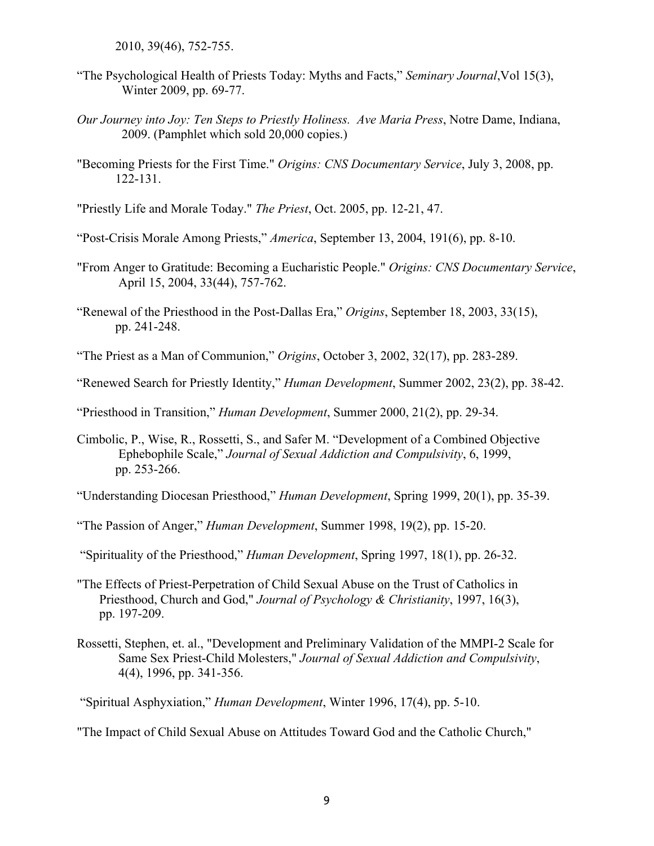2010, 39(46), 752-755.

- "The Psychological Health of Priests Today: Myths and Facts," *Seminary Journal*,Vol 15(3), Winter 2009, pp. 69-77.
- *Our Journey into Joy: Ten Steps to Priestly Holiness. Ave Maria Press*, Notre Dame, Indiana, 2009. (Pamphlet which sold 20,000 copies.)
- "Becoming Priests for the First Time." *Origins: CNS Documentary Service*, July 3, 2008, pp. 122-131.

"Priestly Life and Morale Today." *The Priest*, Oct. 2005, pp. 12-21, 47.

- "Post-Crisis Morale Among Priests," *America*, September 13, 2004, 191(6), pp. 8-10.
- "From Anger to Gratitude: Becoming a Eucharistic People." *Origins: CNS Documentary Service*, April 15, 2004, 33(44), 757-762.
- "Renewal of the Priesthood in the Post-Dallas Era," *Origins*, September 18, 2003, 33(15), pp. 241-248.
- "The Priest as a Man of Communion," *Origins*, October 3, 2002, 32(17), pp. 283-289.
- "Renewed Search for Priestly Identity," *Human Development*, Summer 2002, 23(2), pp. 38-42.

"Priesthood in Transition," *Human Development*, Summer 2000, 21(2), pp. 29-34.

Cimbolic, P., Wise, R., Rossetti, S., and Safer M. "Development of a Combined Objective Ephebophile Scale," *Journal of Sexual Addiction and Compulsivity*, 6, 1999, pp. 253-266.

"Understanding Diocesan Priesthood," *Human Development*, Spring 1999, 20(1), pp. 35-39.

"The Passion of Anger," *Human Development*, Summer 1998, 19(2), pp. 15-20.

"Spirituality of the Priesthood," *Human Development*, Spring 1997, 18(1), pp. 26-32.

- "The Effects of Priest-Perpetration of Child Sexual Abuse on the Trust of Catholics in Priesthood, Church and God," *Journal of Psychology & Christianity*, 1997, 16(3), pp. 197-209.
- Rossetti, Stephen, et. al., "Development and Preliminary Validation of the MMPI-2 Scale for Same Sex Priest-Child Molesters," *Journal of Sexual Addiction and Compulsivity*, 4(4), 1996, pp. 341-356.

"Spiritual Asphyxiation," *Human Development*, Winter 1996, 17(4), pp. 5-10.

"The Impact of Child Sexual Abuse on Attitudes Toward God and the Catholic Church,"